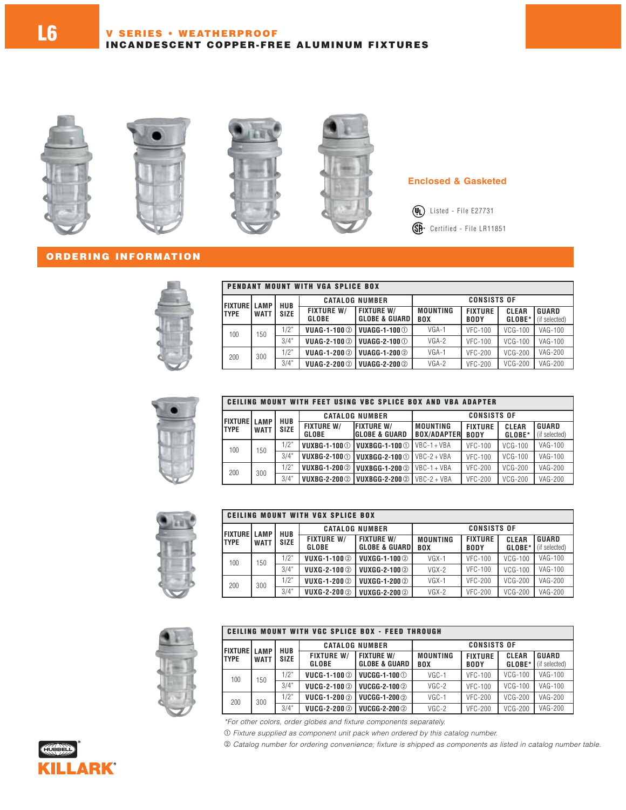







**Enclosed & Gasketed**

Listed - File E27731

Certified - File LR11851

## **ORDERING INFORMATION**



| PENDANT MOUNT WITH VGA SPLICE BOX |             |            |                                   |                                                |                               |                               |                        |                               |
|-----------------------------------|-------------|------------|-----------------------------------|------------------------------------------------|-------------------------------|-------------------------------|------------------------|-------------------------------|
| <b>IFIXTURE LAMP</b>              |             | <b>HUB</b> | <b>CATALOG NUMBER</b>             |                                                | <b>CONSISTS OF</b>            |                               |                        |                               |
| <b>ITYPE</b>                      | <b>WATT</b> | SIZE       | <b>FIXTURE W/</b><br><b>GLOBE</b> | <b>FIXTURE W/</b><br><b>GLOBE &amp; GUARDI</b> | <b>MOUNTING</b><br><b>BOX</b> | <b>FIXTURE</b><br><b>BODY</b> | <b>CLEAR</b><br>GLOBE* | <b>GUARD</b><br>(if selected) |
| 100                               | 150         | 1/2"       | <b>VUAG-1-100 2</b>               | <b>VUAGG-1-100 ①</b>                           | $VGA-1$                       | <b>VFC-100</b>                | $VCG-100$              | VAG-100                       |
|                                   |             | 3/4"       | VUAG-2-100 2                      | VUAGG-2-100 $\circ$                            | $VGA-2$                       | <b>VFC-100</b>                | $VCG-100$              | VAG-100                       |
| 200                               | 300         | 1/2"       | VUAG-1-2002                       | <b>VUAGG-1-200 2</b>                           | $VGA-1$                       | <b>VFC-200</b>                | $VCG-200$              | <b>VAG-200</b>                |
|                                   |             | 3/4"       | <b>VUAG-2-200 2</b>               | VUAGG-2-200 2                                  | $VGA-2$                       | <b>VFC-200</b>                | <b>VCG-200</b>         | <b>VAG-200</b>                |



|                     | <b>CEILING MOUNT WITH FEET USING VBC SPLICE BOX AND VBA ADAPTER</b> |             |                            |                                                          |                                       |                               |                 |                               |  |
|---------------------|---------------------------------------------------------------------|-------------|----------------------------|----------------------------------------------------------|---------------------------------------|-------------------------------|-----------------|-------------------------------|--|
| <b>FIXTURE LAMP</b> |                                                                     | <b>HUB</b>  | <b>CATALOG NUMBER</b>      |                                                          | <b>CONSISTS OF</b>                    |                               |                 |                               |  |
| ltype.              | <b>WATT</b>                                                         | <b>SIZE</b> | <b>FIXTURE W/</b><br>GLOBE | <b>IFIXTURE W/</b><br><b>GLOBE &amp; GUARD</b>           | <b>MOUNTING</b><br><b>BOX/ADAPTER</b> | <b>FIXTURE</b><br><b>BODY</b> | CLEAR<br>GLOBE* | <b>GUARD</b><br>(if selected) |  |
| $100 -$             | 150                                                                 | 1/2"        |                            |                                                          | $IVBC-1+VBA$                          | VFC-100                       | $VCG-100$       | VAG-100                       |  |
|                     |                                                                     | 3/4"        |                            | VUXBG-2-100 $\circ$   VUXBGG-2-100 $\circ$   VBC-2 + VBA |                                       | <b>VFC-100</b>                | $VCG-100$       | VAG-100                       |  |
| 200                 | 300                                                                 | 1/2"        |                            | VUXBG-1-200 2   VUXBGG-1-200 2                           | $IVBC-1+VBA$                          | <b>VFC-200</b>                | $VCG-200$       | VAG-200                       |  |
|                     |                                                                     | 3/4"        |                            | VUXBG-2-200 2   VUXBGG-2-200 2                           | $VBC-2 + VBA$                         | <b>VFC-200</b>                | <b>VCG-200</b>  | <b>VAG-200</b>                |  |



| CEILING MOUNT WITH VGX SPLICE BOX               |     |                           |                            |                                                |                               |                               |                        |                        |
|-------------------------------------------------|-----|---------------------------|----------------------------|------------------------------------------------|-------------------------------|-------------------------------|------------------------|------------------------|
|                                                 |     |                           |                            | <b>CATALOG NUMBER</b>                          | <b>CONSISTS OF</b>            |                               |                        |                        |
| I FIXTURE I LAMP<br><b>ITYPE</b><br><b>WATT</b> |     | <b>HUB</b><br><b>SIZE</b> | <b>FIXTURE W/</b><br>GLOBE | <b>FIXTURE W/</b><br><b>GLOBE &amp; GUARDI</b> | <b>MOUNTING</b><br><b>BOX</b> | <b>FIXTURE</b><br><b>BODY</b> | <b>CLEAR</b><br>GLOBE* | GUARD<br>(if selected) |
| 100                                             | 150 | 1/2"                      | <b>VUXG-1-100 2</b>        | <b>VUXGG-1-100 2</b>                           | $VGX-1$                       | VFC-100                       | $VCG-100$              | VAG-100                |
|                                                 |     | 3/4"                      | VUXG-2-100 2               | VUXGG-2-100 2                                  | $VGX-2$                       | <b>VFC-100</b>                | $VCG-100$              | VAG-100                |
| 200                                             | 300 | 1/2"                      | VUXG-1-200 2               | VUXGG-1-200 2                                  | $VGX-1$                       | <b>VFC-200</b>                | $VCG-200$              | <b>VAG-200</b>         |
|                                                 |     | 3/4"                      | VUXG-2-200 2               | VUXGG-2-200 2                                  | $VGX-2$                       | <b>VFC-200</b>                | <b>VCG-200</b>         | <b>VAG-200</b>         |



| <b>CEILING MOUNT WITH VGC SPLICE BOX - FEED THROUGH</b> |             |             |                            |                                               |                               |                               |                 |                               |
|---------------------------------------------------------|-------------|-------------|----------------------------|-----------------------------------------------|-------------------------------|-------------------------------|-----------------|-------------------------------|
| <b>FIXTURE</b>                                          | LAMP        | HUB         | <b>CATALOG NUMBER</b>      |                                               | <b>CONSISTS OF</b>            |                               |                 |                               |
| <b>TYPE</b>                                             | <b>WATT</b> | <b>SIZE</b> | <b>FIXTURE W/</b><br>GLOBE | <b>FIXTURE W/</b><br><b>GLOBE &amp; GUARD</b> | <b>MOUNTING</b><br><b>BOX</b> | <b>FIXTURE</b><br><b>BODY</b> | CLEAR<br>GLOBE* | <b>GUARD</b><br>(if selected) |
| 100                                                     | 150         | 1/2"        | VUCG-1-100 2               | VUCGG-1-100 ①                                 | VGC-1                         | <b>VFC-100</b>                | $VCG-100$       | VAG-100                       |
|                                                         |             | 3/4"        | VUCG-2-100 2               | VUCGG-2-100 2                                 | $VGC-2$                       | VFC-100                       | $VCG-100$       | VAG-100                       |
| 200                                                     | 300         | 1/2"        | VUCG-1-2002                | VUCGG-1-200 2                                 | VGC-1                         | VFC-200                       | $VCG-200$       | <b>VAG-200</b>                |
|                                                         |             | 3/4"        | VUCG-2-200 2               | VUCGG-2-200 2                                 | $VGC-2$                       | <b>VFC-200</b>                | <b>VCG-200</b>  | <b>VAG-200</b>                |

\*For other colors, order globes and fixture components separately.

Fixture supplied as component unit pack when ordered by this catalog number.

- Catalog number for ordering convenience; fixture is shipped as components as listed in catalog number table.

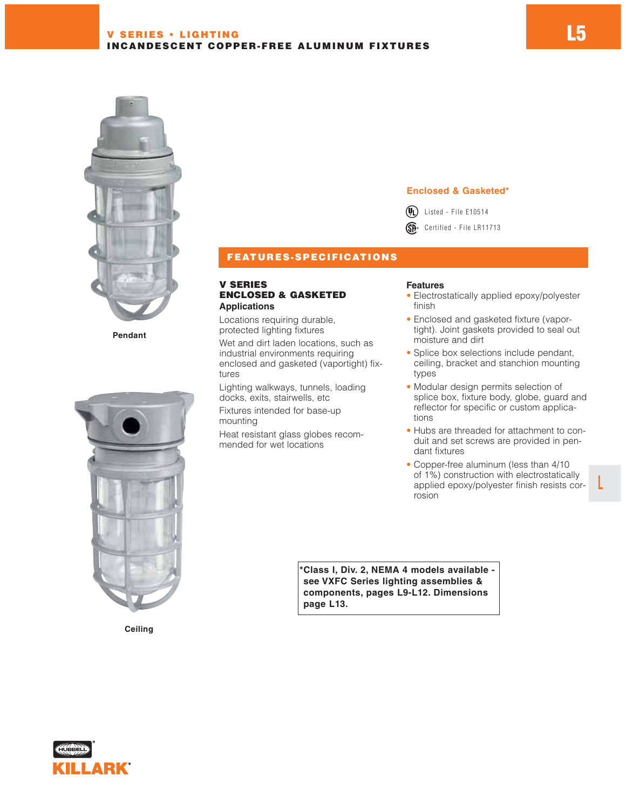## **V SERIES • LIGHTING INCANDESCENT COPPER-FREE ALUMINUM FIXTURES**



**Pendant** 



**Ceiling** 

## **Enclosed & Gasketed\***

 $(\mathbb{U})$  Listed - File E10514

SP<sup>®</sup> Certified - File LR11713

**FEATURES-SPECIFICATIONS**

### **V SERIES ENCLOSED & GASKETED Applications**

Locations requiring durable, protected lighting fixtures

Wet and dirt laden locations, such as industrial environments requiring enclosed and gasketed (vaportight) fixtures

Lighting walkways, tunnels, loading docks, exits, stairwells, etc

Fixtures intended for base-up mounting

Heat resistant glass globes recommended for wet locations

#### **Features**

- Electrostatically applied epoxy/polyester finish
- Enclosed and gasketed fixture (vaportight). Joint gaskets provided to seal out moisture and dirt
- Splice box selections include pendant, ceiling, bracket and stanchion mounting types
- Modular design permits selection of splice box, fixture body, globe, guard and reflector for specific or custom applications
- Hubs are threaded for attachment to conduit and set screws are provided in pendant fixtures
- Copper-free aluminum (less than 4/10 of 1%) construction with electrostatically applied epoxy/polyester finish resists corrosion

**L**

**\*Class I, Div. 2, NEMA 4 models available see VXFC Series lighting assemblies & components, pages L9-L12. Dimensions page L13.**

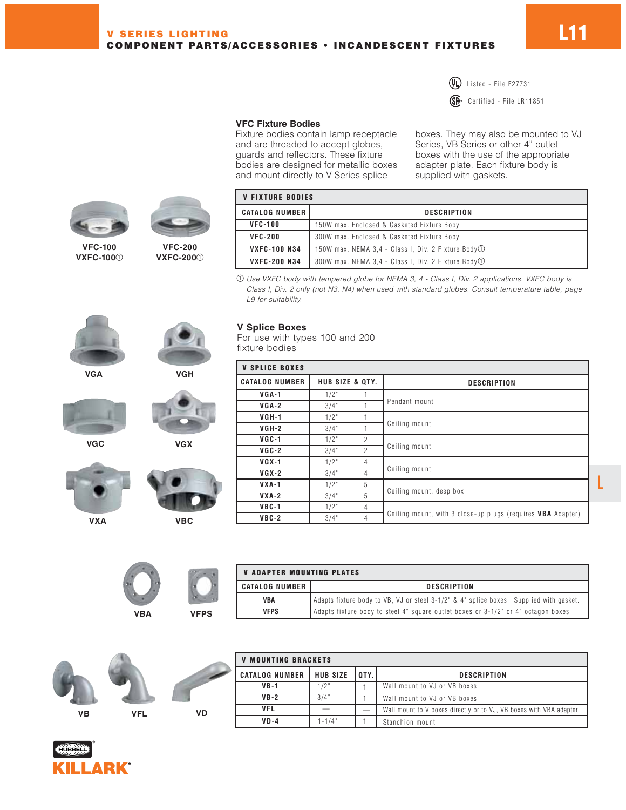# **V SERIES LIGHTING L11 COMPONENT PARTS/ACCESSORIES • INCANDESCENT FIXTURES**



Certified - File LR11851

## **VFC Fixture Bodies**

**V Splice Boxes**

fixture bodies

For use with types 100 and 200

Fixture bodies contain lamp receptacle and are threaded to accept globes, guards and reflectors. These fixture bodies are designed for metallic boxes and mount directly to V Series splice

boxes. They may also be mounted to VJ Series, VB Series or other 4" outlet boxes with the use of the appropriate adapter plate. Each fixture body is supplied with gaskets.





**VFC-100 VXFC-100**

**VFC-200 VXFC-200**

| <b>V FIXTURE BODIES</b> |                                                    |  |  |  |  |
|-------------------------|----------------------------------------------------|--|--|--|--|
| <b>CATALOG NUMBER I</b> | <b>DESCRIPTION</b>                                 |  |  |  |  |
| <b>VFC-100</b>          | 150W max. Enclosed & Gasketed Fixture Boby         |  |  |  |  |
| $VFC-200$               | 300W max. Enclosed & Gasketed Fixture Boby         |  |  |  |  |
| <b>VXFC-100 N34</b>     | 150W max. NEMA 3.4 - Class I, Div. 2 Fixture Body① |  |  |  |  |
| <b>VXFC-200 N34</b>     | 300W max. NEMA 3.4 - Class I, Div. 2 Fixture Body① |  |  |  |  |

 Use VXFC body with tempered globe for NEMA 3, 4 - Class I, Div. 2 applications. VXFC body is Class I, Div. 2 only (not N3, N4) when used with standard globes. Consult temperature table, page L9 for suitability.



**VGA**





**VGC**







**VGH**











|     |             | <b>V ADAPTER MOUNTING PLATES</b> |                                                                                        |  |  |  |
|-----|-------------|----------------------------------|----------------------------------------------------------------------------------------|--|--|--|
|     |             | <b>CATALOG NUMBER  </b>          | <b>DESCRIPTION</b>                                                                     |  |  |  |
|     |             | VBA                              | Adapts fixture body to VB, VJ or steel 3-1/2" & 4" splice boxes. Supplied with gasket. |  |  |  |
| VBA | <b>VFPS</b> | <b>VFPS</b>                      | Adapts fixture body to steel 4" square outlet boxes or 3-1/2" or 4" octagon boxes      |  |  |  |





| V MOUNTING BRACKETS     |                 |       |                                                                    |  |  |
|-------------------------|-----------------|-------|--------------------------------------------------------------------|--|--|
| <b>CATALOG NUMBER 1</b> | <b>HUB SIZE</b> | TOTY. | <b>DESCRIPTION</b>                                                 |  |  |
| <b>VB-1</b>             | 1/2"            |       | Wall mount to VJ or VB boxes                                       |  |  |
| $VB-2$                  | 3/4"            |       | Wall mount to VJ or VB boxes                                       |  |  |
| <b>VFL</b>              |                 |       | Wall mount to V boxes directly or to VJ, VB boxes with VBA adapter |  |  |
| VD-4                    | l - 1/4"        |       | Stanchion mount                                                    |  |  |